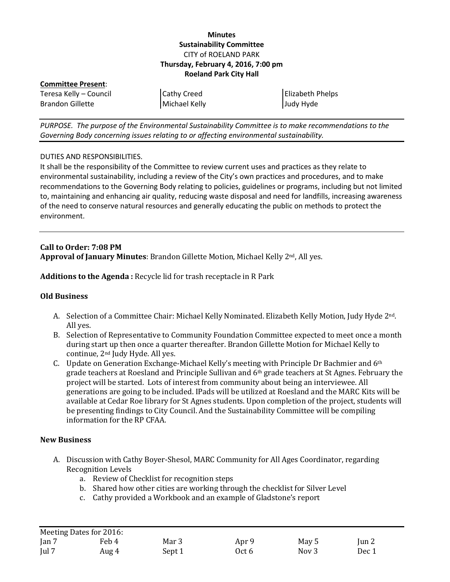### **Minutes Sustainability Committee** CITY of ROELAND PARK **Thursday, February 4, 2016, 7:00 pm Roeland Park City Hall**

**Committee Present**: Teresa Kelly – Council Brandon Gillette

Cathy Creed Michael Kelly

Elizabeth Phelps Judy Hyde

*PURPOSE. The purpose of the Environmental Sustainability Committee is to make recommendations to the Governing Body concerning issues relating to or affecting environmental sustainability.*

### DUTIES AND RESPONSIBILITIES.

It shall be the responsibility of the Committee to review current uses and practices as they relate to environmental sustainability, including a review of the City's own practices and procedures, and to make recommendations to the Governing Body relating to policies, guidelines or programs, including but not limited to, maintaining and enhancing air quality, reducing waste disposal and need for landfills, increasing awareness of the need to conserve natural resources and generally educating the public on methods to protect the environment.

### **Call to Order: 7:08 PM Approval of January Minutes**: Brandon Gillette Motion, Michael Kelly 2nd, All yes.

**Additions to the Agenda :** Recycle lid for trash receptacle in R Park

## **Old Business**

- A. Selection of a Committee Chair: Michael Kelly Nominated. Elizabeth Kelly Motion, Judy Hyde 2nd. All yes.
- B. Selection of Representative to Community Foundation Committee expected to meet once a month during start up then once a quarter thereafter. Brandon Gillette Motion for Michael Kelly to continue, 2nd Judy Hyde. All yes.
- C. Update on Generation Exchange-Michael Kelly's meeting with Principle Dr Bachmier and  $6<sup>th</sup>$ grade teachers at Roesland and Principle Sullivan and 6th grade teachers at St Agnes. February the project will be started. Lots of interest from community about being an interviewee. All generations are going to be included. IPads will be utilized at Roesland and the MARC Kits will be available at Cedar Roe library for St Agnes students. Upon completion of the project, students will be presenting findings to City Council. And the Sustainability Committee will be compiling information for the RP CFAA.

### **New Business**

- A. Discussion with Cathy Boyer-Shesol, MARC Community for All Ages Coordinator, regarding Recognition Levels
	- a. Review of Checklist for recognition steps
	- b. Shared how other cities are working through the checklist for Silver Level
	- c. Cathy provided a Workbook and an example of Gladstone's report

|               | Meeting Dates for 2016: |        |       |                  |       |
|---------------|-------------------------|--------|-------|------------------|-------|
| Jan $7$       | Feb 4                   | Mar 3  | Apr 9 | May 5            | Jun 2 |
| $\lceil$ ul 7 | Aug 4                   | Sept 1 | Oct 6 | Nov <sub>3</sub> | Dec 1 |